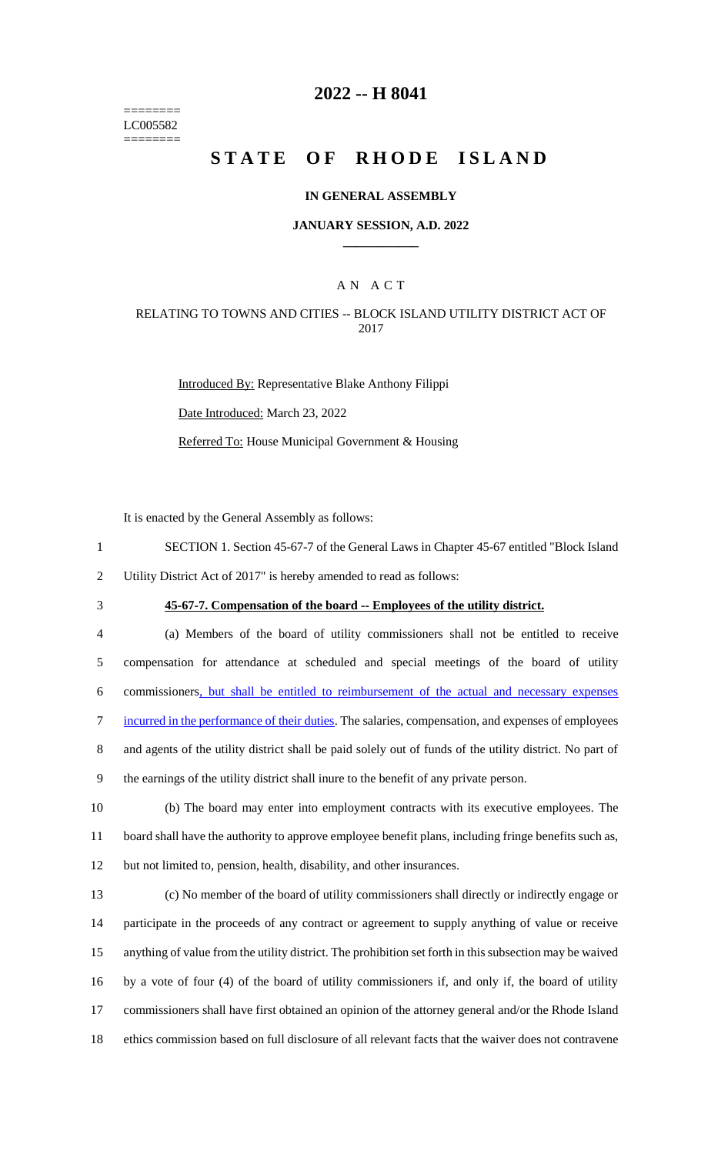======== LC005582 ========

## **-- H 8041**

# **STATE OF RHODE ISLAND**

### **IN GENERAL ASSEMBLY**

#### **JANUARY SESSION, A.D. 2022 \_\_\_\_\_\_\_\_\_\_\_\_**

## A N A C T

### RELATING TO TOWNS AND CITIES -- BLOCK ISLAND UTILITY DISTRICT ACT OF

Introduced By: Representative Blake Anthony Filippi Date Introduced: March 23, 2022 Referred To: House Municipal Government & Housing

It is enacted by the General Assembly as follows:

- SECTION 1. Section 45-67-7 of the General Laws in Chapter 45-67 entitled "Block Island
- Utility District Act of 2017" is hereby amended to read as follows:
- 

# **45-67-7. Compensation of the board -- Employees of the utility district.**

 (a) Members of the board of utility commissioners shall not be entitled to receive compensation for attendance at scheduled and special meetings of the board of utility commissioners, but shall be entitled to reimbursement of the actual and necessary expenses incurred in the performance of their duties. The salaries, compensation, and expenses of employees and agents of the utility district shall be paid solely out of funds of the utility district. No part of the earnings of the utility district shall inure to the benefit of any private person.

 (b) The board may enter into employment contracts with its executive employees. The board shall have the authority to approve employee benefit plans, including fringe benefits such as, but not limited to, pension, health, disability, and other insurances.

 (c) No member of the board of utility commissioners shall directly or indirectly engage or participate in the proceeds of any contract or agreement to supply anything of value or receive anything of value from the utility district. The prohibition set forth in this subsection may be waived by a vote of four (4) of the board of utility commissioners if, and only if, the board of utility commissioners shall have first obtained an opinion of the attorney general and/or the Rhode Island ethics commission based on full disclosure of all relevant facts that the waiver does not contravene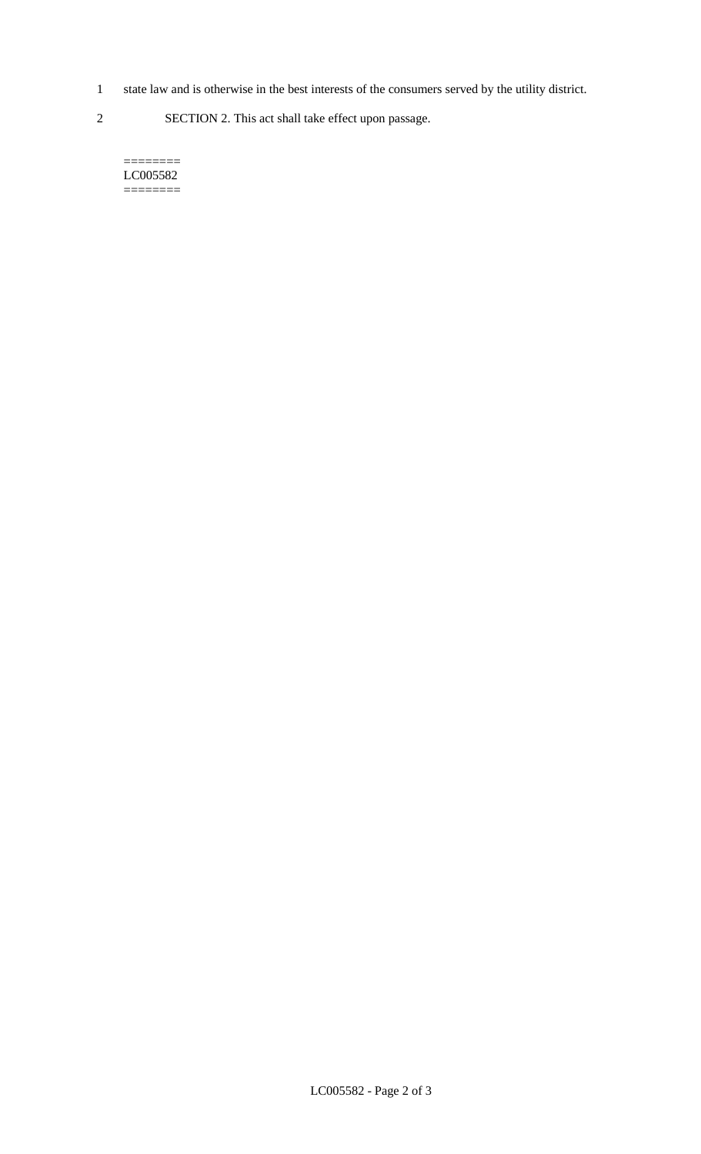- 1 state law and is otherwise in the best interests of the consumers served by the utility district.
- 2 SECTION 2. This act shall take effect upon passage.

======== LC005582  $=$